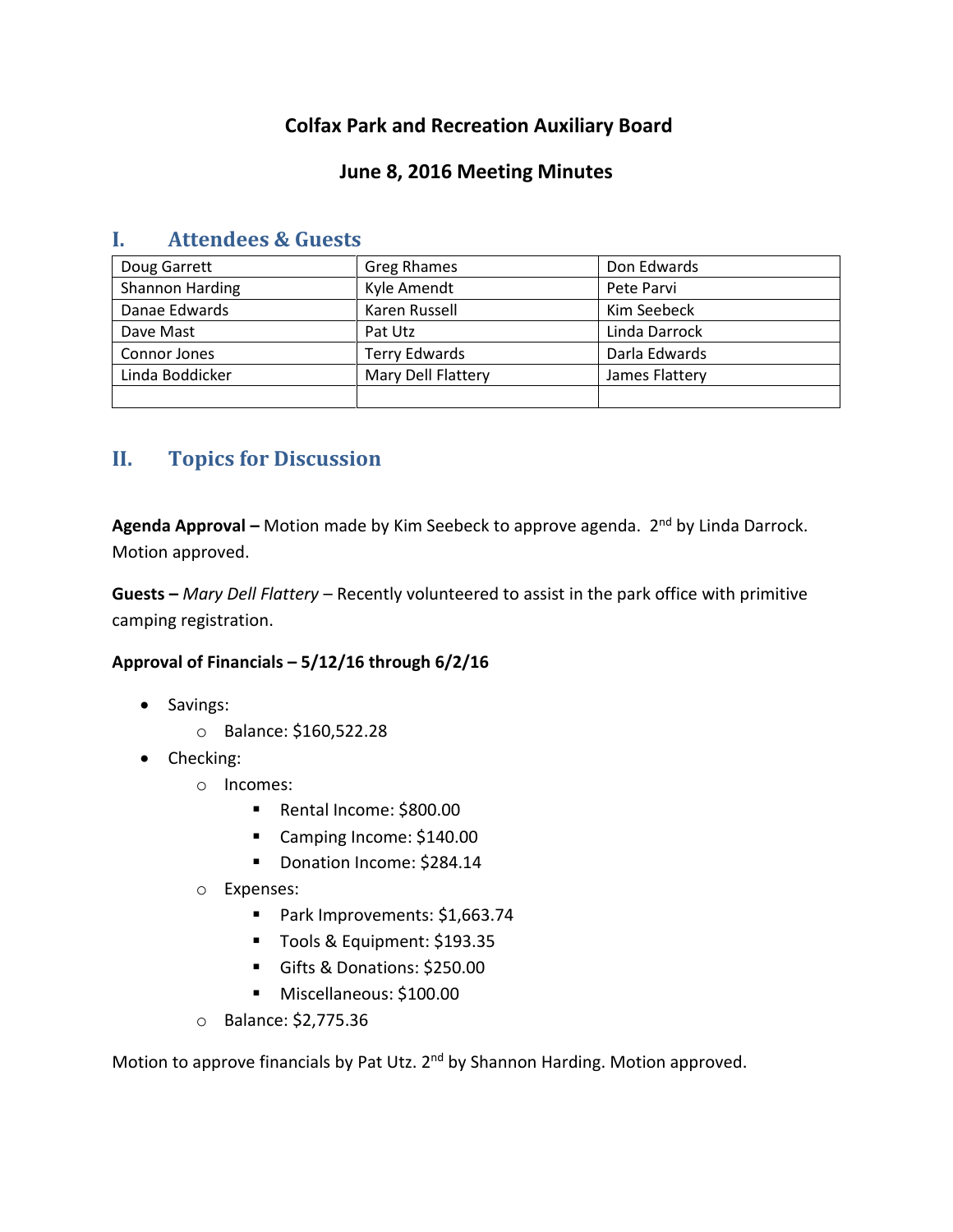# **Colfax Park and Recreation Auxiliary Board**

## **June 8, 2016 Meeting Minutes**

| Doug Garrett    | Greg Rhames          | Don Edwards    |
|-----------------|----------------------|----------------|
| Shannon Harding | Kyle Amendt          | Pete Parvi     |
| Danae Edwards   | Karen Russell        | Kim Seebeck    |
| Dave Mast       | Pat Utz              | Linda Darrock  |
| Connor Jones    | <b>Terry Edwards</b> | Darla Edwards  |
| Linda Boddicker | Mary Dell Flattery   | James Flattery |
|                 |                      |                |

## **I. Attendees & Guests**

# **II. Topics for Discussion**

**Agenda Approval –** Motion made by Kim Seebeck to approve agenda. 2nd by Linda Darrock. Motion approved.

**Guests –** *Mary Dell Flattery* – Recently volunteered to assist in the park office with primitive camping registration.

#### **Approval of Financials – 5/12/16 through 6/2/16**

- Savings:
	- o Balance: \$160,522.28
- Checking:
	- o Incomes:
		- Rental Income: \$800.00
		- Camping Income: \$140.00
		- Donation Income: \$284.14
	- o Expenses:
		- Park Improvements: \$1,663.74
		- Tools & Equipment: \$193.35
		- Gifts & Donations: \$250.00
		- **Miscellaneous: \$100.00**
	- o Balance: \$2,775.36

Motion to approve financials by Pat Utz. 2<sup>nd</sup> by Shannon Harding. Motion approved.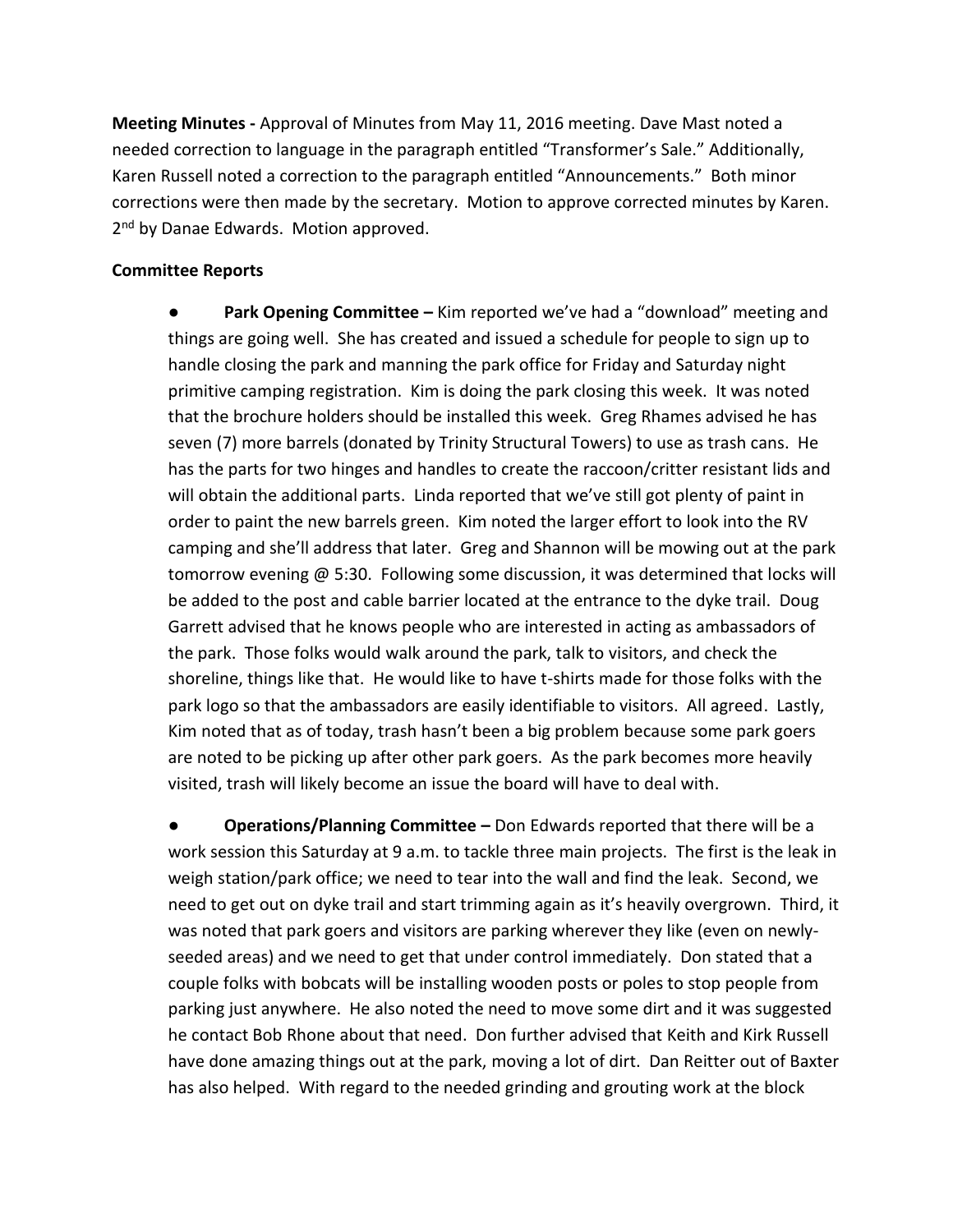**Meeting Minutes -** Approval of Minutes from May 11, 2016 meeting. Dave Mast noted a needed correction to language in the paragraph entitled "Transformer's Sale." Additionally, Karen Russell noted a correction to the paragraph entitled "Announcements." Both minor corrections were then made by the secretary. Motion to approve corrected minutes by Karen. 2<sup>nd</sup> by Danae Edwards. Motion approved.

#### **Committee Reports**

**• Park Opening Committee –** Kim reported we've had a "download" meeting and things are going well. She has created and issued a schedule for people to sign up to handle closing the park and manning the park office for Friday and Saturday night primitive camping registration. Kim is doing the park closing this week. It was noted that the brochure holders should be installed this week. Greg Rhames advised he has seven (7) more barrels (donated by Trinity Structural Towers) to use as trash cans. He has the parts for two hinges and handles to create the raccoon/critter resistant lids and will obtain the additional parts. Linda reported that we've still got plenty of paint in order to paint the new barrels green. Kim noted the larger effort to look into the RV camping and she'll address that later. Greg and Shannon will be mowing out at the park tomorrow evening  $\omega$  5:30. Following some discussion, it was determined that locks will be added to the post and cable barrier located at the entrance to the dyke trail. Doug Garrett advised that he knows people who are interested in acting as ambassadors of the park. Those folks would walk around the park, talk to visitors, and check the shoreline, things like that. He would like to have t-shirts made for those folks with the park logo so that the ambassadors are easily identifiable to visitors. All agreed. Lastly, Kim noted that as of today, trash hasn't been a big problem because some park goers are noted to be picking up after other park goers. As the park becomes more heavily visited, trash will likely become an issue the board will have to deal with.

**● Operations/Planning Committee –** Don Edwards reported that there will be a work session this Saturday at 9 a.m. to tackle three main projects. The first is the leak in weigh station/park office; we need to tear into the wall and find the leak. Second, we need to get out on dyke trail and start trimming again as it's heavily overgrown. Third, it was noted that park goers and visitors are parking wherever they like (even on newlyseeded areas) and we need to get that under control immediately. Don stated that a couple folks with bobcats will be installing wooden posts or poles to stop people from parking just anywhere. He also noted the need to move some dirt and it was suggested he contact Bob Rhone about that need. Don further advised that Keith and Kirk Russell have done amazing things out at the park, moving a lot of dirt. Dan Reitter out of Baxter has also helped. With regard to the needed grinding and grouting work at the block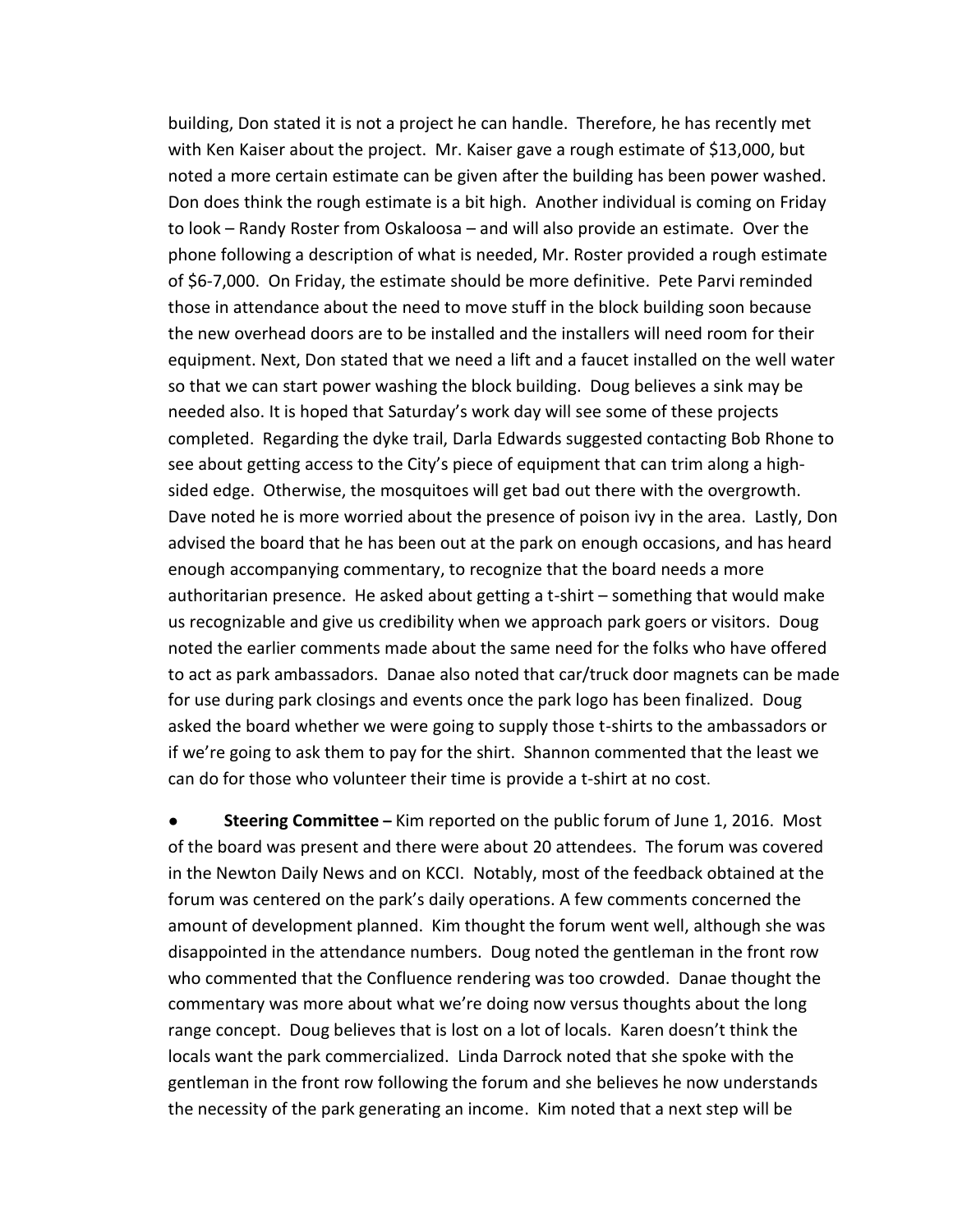building, Don stated it is not a project he can handle. Therefore, he has recently met with Ken Kaiser about the project. Mr. Kaiser gave a rough estimate of \$13,000, but noted a more certain estimate can be given after the building has been power washed. Don does think the rough estimate is a bit high. Another individual is coming on Friday to look – Randy Roster from Oskaloosa – and will also provide an estimate. Over the phone following a description of what is needed, Mr. Roster provided a rough estimate of \$6-7,000. On Friday, the estimate should be more definitive. Pete Parvi reminded those in attendance about the need to move stuff in the block building soon because the new overhead doors are to be installed and the installers will need room for their equipment. Next, Don stated that we need a lift and a faucet installed on the well water so that we can start power washing the block building. Doug believes a sink may be needed also. It is hoped that Saturday's work day will see some of these projects completed. Regarding the dyke trail, Darla Edwards suggested contacting Bob Rhone to see about getting access to the City's piece of equipment that can trim along a highsided edge. Otherwise, the mosquitoes will get bad out there with the overgrowth. Dave noted he is more worried about the presence of poison ivy in the area. Lastly, Don advised the board that he has been out at the park on enough occasions, and has heard enough accompanying commentary, to recognize that the board needs a more authoritarian presence. He asked about getting a t-shirt – something that would make us recognizable and give us credibility when we approach park goers or visitors. Doug noted the earlier comments made about the same need for the folks who have offered to act as park ambassadors. Danae also noted that car/truck door magnets can be made for use during park closings and events once the park logo has been finalized. Doug asked the board whether we were going to supply those t-shirts to the ambassadors or if we're going to ask them to pay for the shirt. Shannon commented that the least we can do for those who volunteer their time is provide a t-shirt at no cost.

**Steering Committee** - Kim reported on the public forum of June 1, 2016. Most of the board was present and there were about 20 attendees. The forum was covered in the Newton Daily News and on KCCI. Notably, most of the feedback obtained at the forum was centered on the park's daily operations. A few comments concerned the amount of development planned. Kim thought the forum went well, although she was disappointed in the attendance numbers. Doug noted the gentleman in the front row who commented that the Confluence rendering was too crowded. Danae thought the commentary was more about what we're doing now versus thoughts about the long range concept. Doug believes that is lost on a lot of locals. Karen doesn't think the locals want the park commercialized. Linda Darrock noted that she spoke with the gentleman in the front row following the forum and she believes he now understands the necessity of the park generating an income. Kim noted that a next step will be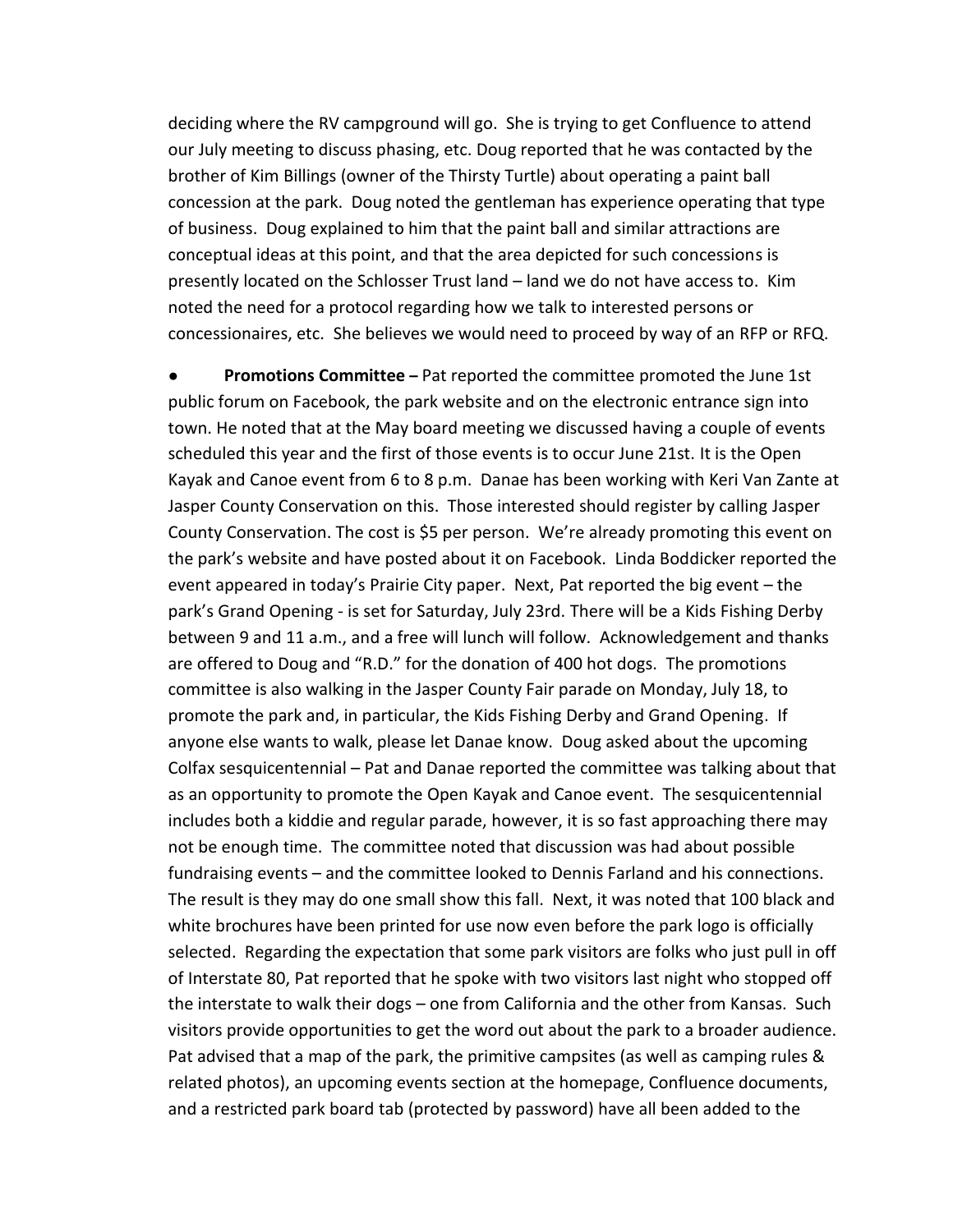deciding where the RV campground will go. She is trying to get Confluence to attend our July meeting to discuss phasing, etc. Doug reported that he was contacted by the brother of Kim Billings (owner of the Thirsty Turtle) about operating a paint ball concession at the park. Doug noted the gentleman has experience operating that type of business. Doug explained to him that the paint ball and similar attractions are conceptual ideas at this point, and that the area depicted for such concessions is presently located on the Schlosser Trust land – land we do not have access to. Kim noted the need for a protocol regarding how we talk to interested persons or concessionaires, etc. She believes we would need to proceed by way of an RFP or RFQ.

**Promotions Committee** - Pat reported the committee promoted the June 1st public forum on Facebook, the park website and on the electronic entrance sign into town. He noted that at the May board meeting we discussed having a couple of events scheduled this year and the first of those events is to occur June 21st. It is the Open Kayak and Canoe event from 6 to 8 p.m. Danae has been working with Keri Van Zante at Jasper County Conservation on this. Those interested should register by calling Jasper County Conservation. The cost is \$5 per person. We're already promoting this event on the park's website and have posted about it on Facebook. Linda Boddicker reported the event appeared in today's Prairie City paper. Next, Pat reported the big event – the park's Grand Opening - is set for Saturday, July 23rd. There will be a Kids Fishing Derby between 9 and 11 a.m., and a free will lunch will follow. Acknowledgement and thanks are offered to Doug and "R.D." for the donation of 400 hot dogs. The promotions committee is also walking in the Jasper County Fair parade on Monday, July 18, to promote the park and, in particular, the Kids Fishing Derby and Grand Opening. If anyone else wants to walk, please let Danae know. Doug asked about the upcoming Colfax sesquicentennial – Pat and Danae reported the committee was talking about that as an opportunity to promote the Open Kayak and Canoe event. The sesquicentennial includes both a kiddie and regular parade, however, it is so fast approaching there may not be enough time. The committee noted that discussion was had about possible fundraising events – and the committee looked to Dennis Farland and his connections. The result is they may do one small show this fall. Next, it was noted that 100 black and white brochures have been printed for use now even before the park logo is officially selected. Regarding the expectation that some park visitors are folks who just pull in off of Interstate 80, Pat reported that he spoke with two visitors last night who stopped off the interstate to walk their dogs – one from California and the other from Kansas. Such visitors provide opportunities to get the word out about the park to a broader audience. Pat advised that a map of the park, the primitive campsites (as well as camping rules & related photos), an upcoming events section at the homepage, Confluence documents, and a restricted park board tab (protected by password) have all been added to the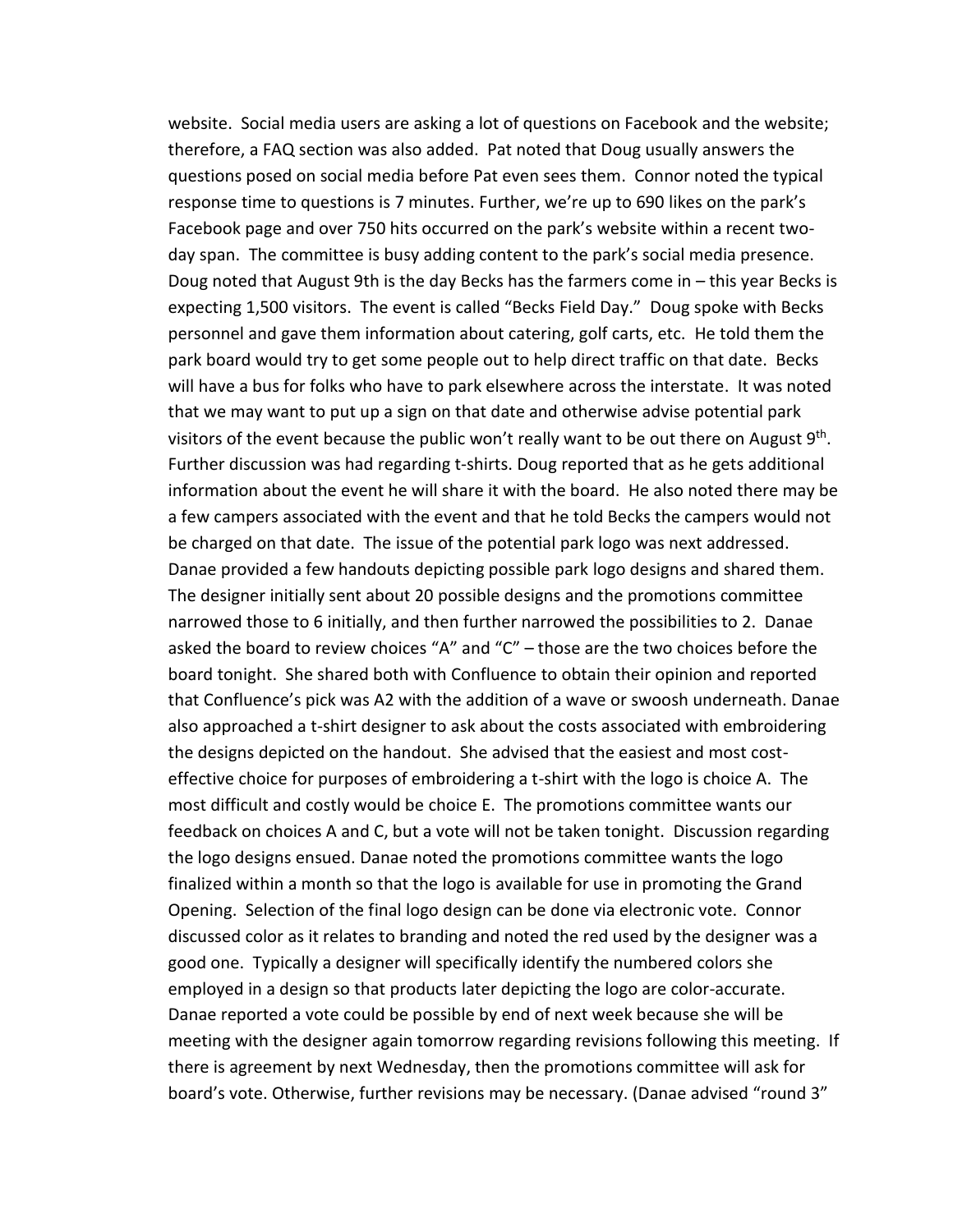website. Social media users are asking a lot of questions on Facebook and the website; therefore, a FAQ section was also added. Pat noted that Doug usually answers the questions posed on social media before Pat even sees them. Connor noted the typical response time to questions is 7 minutes. Further, we're up to 690 likes on the park's Facebook page and over 750 hits occurred on the park's website within a recent twoday span. The committee is busy adding content to the park's social media presence. Doug noted that August 9th is the day Becks has the farmers come in – this year Becks is expecting 1,500 visitors. The event is called "Becks Field Day." Doug spoke with Becks personnel and gave them information about catering, golf carts, etc. He told them the park board would try to get some people out to help direct traffic on that date. Becks will have a bus for folks who have to park elsewhere across the interstate. It was noted that we may want to put up a sign on that date and otherwise advise potential park visitors of the event because the public won't really want to be out there on August 9<sup>th</sup>. Further discussion was had regarding t-shirts. Doug reported that as he gets additional information about the event he will share it with the board. He also noted there may be a few campers associated with the event and that he told Becks the campers would not be charged on that date. The issue of the potential park logo was next addressed. Danae provided a few handouts depicting possible park logo designs and shared them. The designer initially sent about 20 possible designs and the promotions committee narrowed those to 6 initially, and then further narrowed the possibilities to 2. Danae asked the board to review choices "A" and "C" – those are the two choices before the board tonight. She shared both with Confluence to obtain their opinion and reported that Confluence's pick was A2 with the addition of a wave or swoosh underneath. Danae also approached a t-shirt designer to ask about the costs associated with embroidering the designs depicted on the handout. She advised that the easiest and most costeffective choice for purposes of embroidering a t-shirt with the logo is choice A. The most difficult and costly would be choice E. The promotions committee wants our feedback on choices A and C, but a vote will not be taken tonight. Discussion regarding the logo designs ensued. Danae noted the promotions committee wants the logo finalized within a month so that the logo is available for use in promoting the Grand Opening. Selection of the final logo design can be done via electronic vote. Connor discussed color as it relates to branding and noted the red used by the designer was a good one. Typically a designer will specifically identify the numbered colors she employed in a design so that products later depicting the logo are color-accurate. Danae reported a vote could be possible by end of next week because she will be meeting with the designer again tomorrow regarding revisions following this meeting. If there is agreement by next Wednesday, then the promotions committee will ask for board's vote. Otherwise, further revisions may be necessary. (Danae advised "round 3"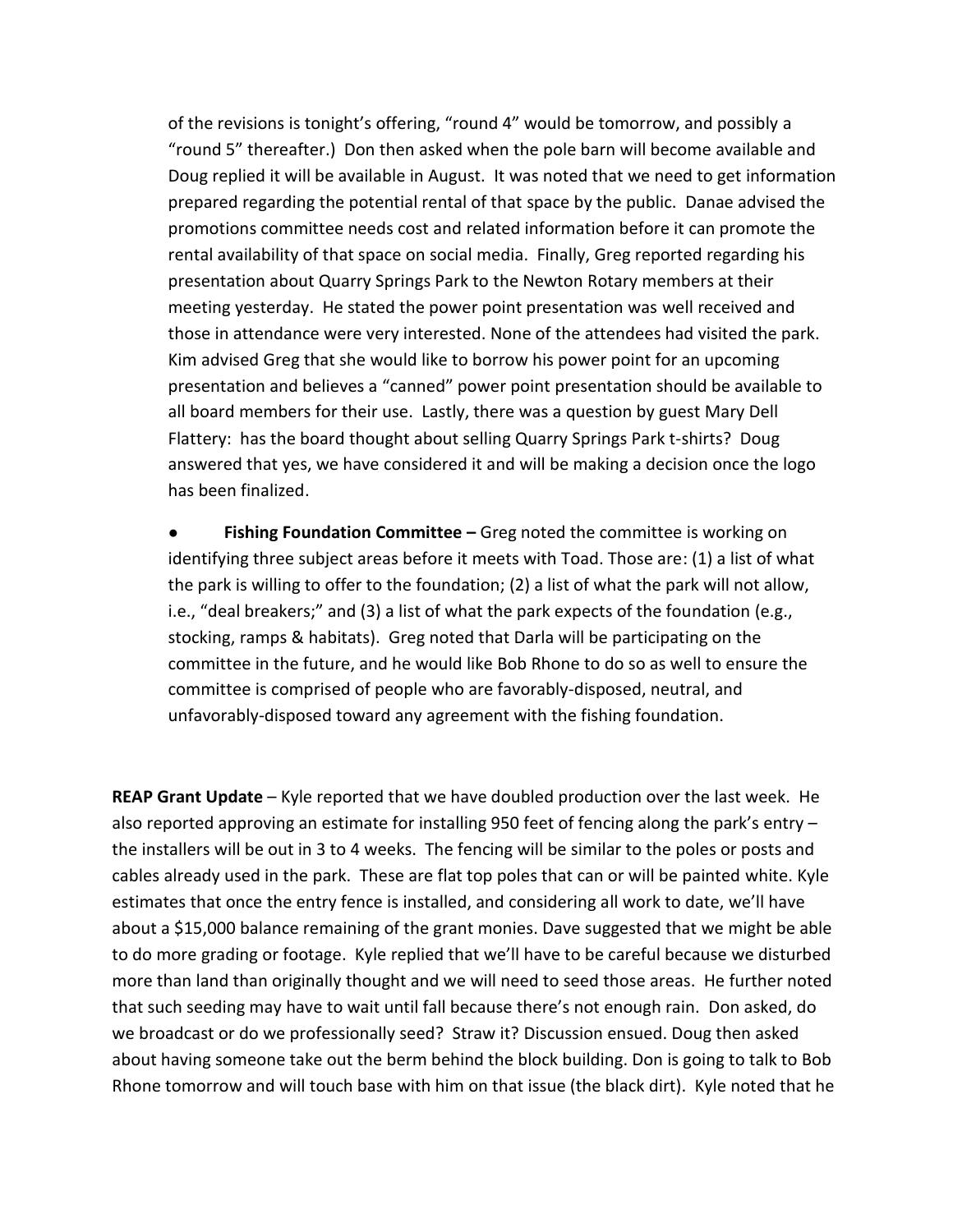of the revisions is tonight's offering, "round 4" would be tomorrow, and possibly a "round 5" thereafter.) Don then asked when the pole barn will become available and Doug replied it will be available in August. It was noted that we need to get information prepared regarding the potential rental of that space by the public. Danae advised the promotions committee needs cost and related information before it can promote the rental availability of that space on social media. Finally, Greg reported regarding his presentation about Quarry Springs Park to the Newton Rotary members at their meeting yesterday. He stated the power point presentation was well received and those in attendance were very interested. None of the attendees had visited the park. Kim advised Greg that she would like to borrow his power point for an upcoming presentation and believes a "canned" power point presentation should be available to all board members for their use. Lastly, there was a question by guest Mary Dell Flattery: has the board thought about selling Quarry Springs Park t-shirts? Doug answered that yes, we have considered it and will be making a decision once the logo has been finalized.

**Fishing Foundation Committee –** Greg noted the committee is working on identifying three subject areas before it meets with Toad. Those are: (1) a list of what the park is willing to offer to the foundation; (2) a list of what the park will not allow, i.e., "deal breakers;" and (3) a list of what the park expects of the foundation (e.g., stocking, ramps & habitats). Greg noted that Darla will be participating on the committee in the future, and he would like Bob Rhone to do so as well to ensure the committee is comprised of people who are favorably-disposed, neutral, and unfavorably-disposed toward any agreement with the fishing foundation.

**REAP Grant Update** – Kyle reported that we have doubled production over the last week. He also reported approving an estimate for installing 950 feet of fencing along the park's entry – the installers will be out in 3 to 4 weeks. The fencing will be similar to the poles or posts and cables already used in the park. These are flat top poles that can or will be painted white. Kyle estimates that once the entry fence is installed, and considering all work to date, we'll have about a \$15,000 balance remaining of the grant monies. Dave suggested that we might be able to do more grading or footage. Kyle replied that we'll have to be careful because we disturbed more than land than originally thought and we will need to seed those areas. He further noted that such seeding may have to wait until fall because there's not enough rain. Don asked, do we broadcast or do we professionally seed? Straw it? Discussion ensued. Doug then asked about having someone take out the berm behind the block building. Don is going to talk to Bob Rhone tomorrow and will touch base with him on that issue (the black dirt). Kyle noted that he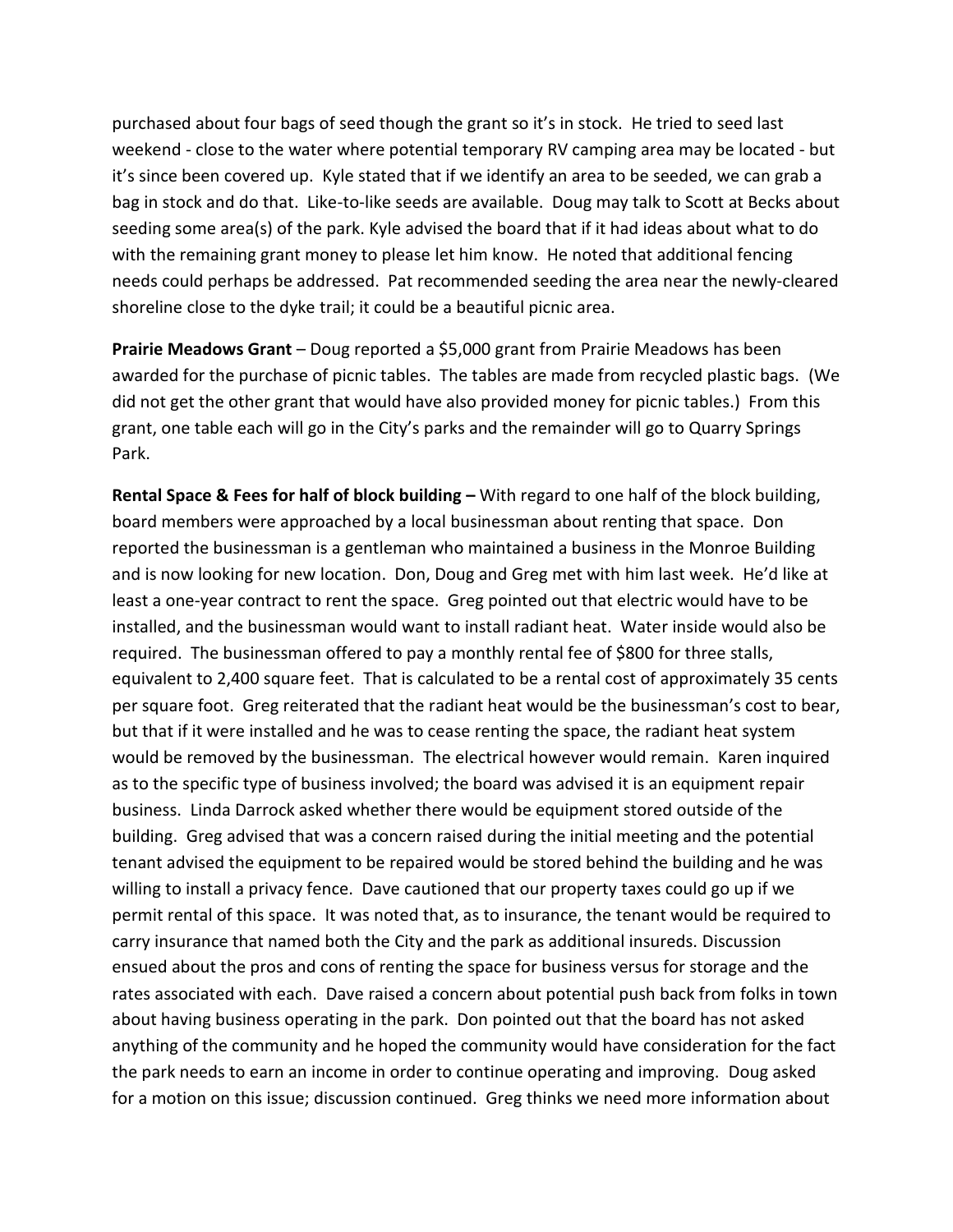purchased about four bags of seed though the grant so it's in stock. He tried to seed last weekend - close to the water where potential temporary RV camping area may be located - but it's since been covered up. Kyle stated that if we identify an area to be seeded, we can grab a bag in stock and do that. Like-to-like seeds are available. Doug may talk to Scott at Becks about seeding some area(s) of the park. Kyle advised the board that if it had ideas about what to do with the remaining grant money to please let him know. He noted that additional fencing needs could perhaps be addressed. Pat recommended seeding the area near the newly-cleared shoreline close to the dyke trail; it could be a beautiful picnic area.

**Prairie Meadows Grant** – Doug reported a \$5,000 grant from Prairie Meadows has been awarded for the purchase of picnic tables. The tables are made from recycled plastic bags. (We did not get the other grant that would have also provided money for picnic tables.) From this grant, one table each will go in the City's parks and the remainder will go to Quarry Springs Park.

**Rental Space & Fees for half of block building –** With regard to one half of the block building, board members were approached by a local businessman about renting that space. Don reported the businessman is a gentleman who maintained a business in the Monroe Building and is now looking for new location. Don, Doug and Greg met with him last week. He'd like at least a one-year contract to rent the space. Greg pointed out that electric would have to be installed, and the businessman would want to install radiant heat. Water inside would also be required. The businessman offered to pay a monthly rental fee of \$800 for three stalls, equivalent to 2,400 square feet. That is calculated to be a rental cost of approximately 35 cents per square foot. Greg reiterated that the radiant heat would be the businessman's cost to bear, but that if it were installed and he was to cease renting the space, the radiant heat system would be removed by the businessman. The electrical however would remain. Karen inquired as to the specific type of business involved; the board was advised it is an equipment repair business. Linda Darrock asked whether there would be equipment stored outside of the building. Greg advised that was a concern raised during the initial meeting and the potential tenant advised the equipment to be repaired would be stored behind the building and he was willing to install a privacy fence. Dave cautioned that our property taxes could go up if we permit rental of this space. It was noted that, as to insurance, the tenant would be required to carry insurance that named both the City and the park as additional insureds. Discussion ensued about the pros and cons of renting the space for business versus for storage and the rates associated with each. Dave raised a concern about potential push back from folks in town about having business operating in the park. Don pointed out that the board has not asked anything of the community and he hoped the community would have consideration for the fact the park needs to earn an income in order to continue operating and improving. Doug asked for a motion on this issue; discussion continued. Greg thinks we need more information about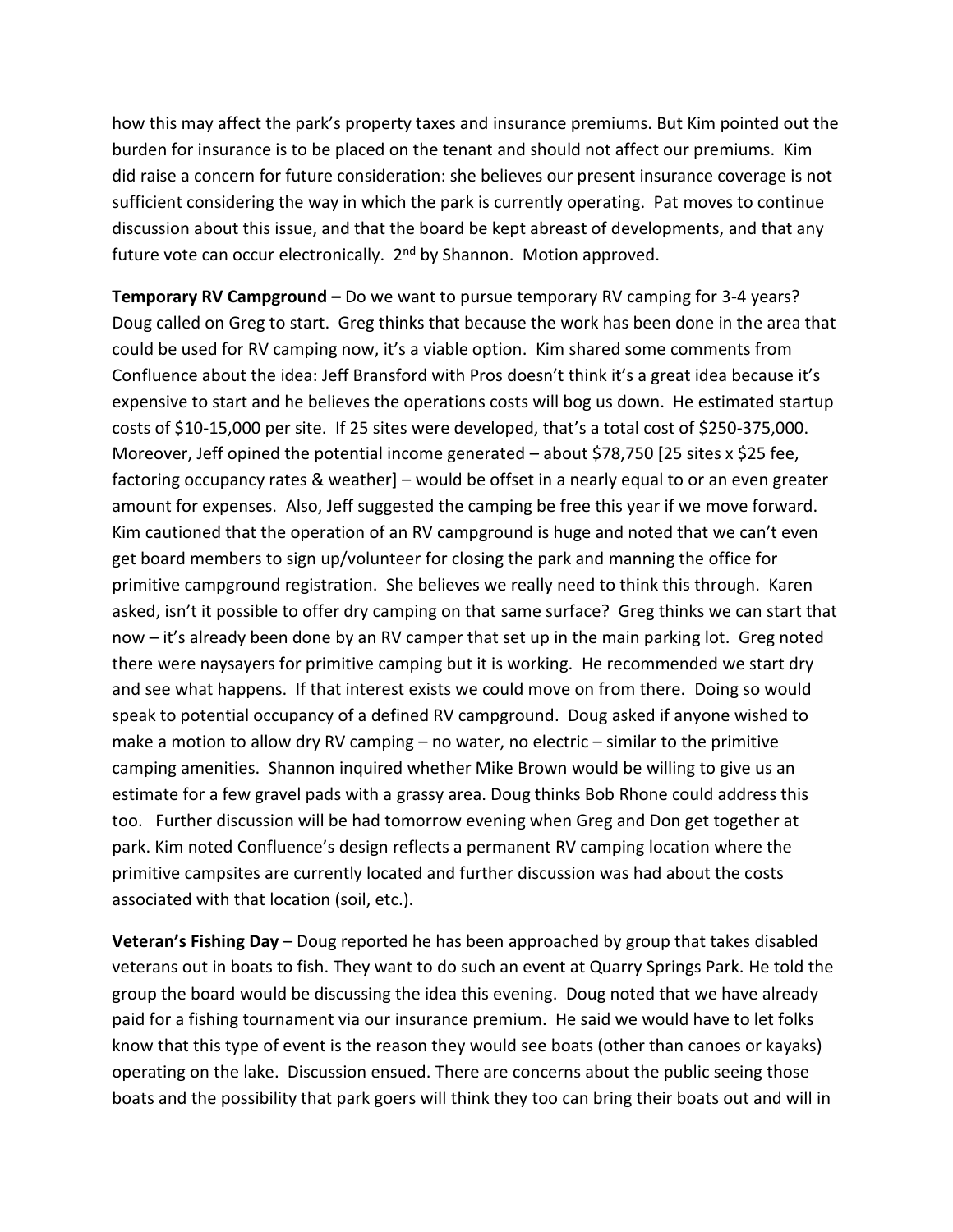how this may affect the park's property taxes and insurance premiums. But Kim pointed out the burden for insurance is to be placed on the tenant and should not affect our premiums. Kim did raise a concern for future consideration: she believes our present insurance coverage is not sufficient considering the way in which the park is currently operating. Pat moves to continue discussion about this issue, and that the board be kept abreast of developments, and that any future vote can occur electronically. 2<sup>nd</sup> by Shannon. Motion approved.

**Temporary RV Campground –** Do we want to pursue temporary RV camping for 3-4 years? Doug called on Greg to start. Greg thinks that because the work has been done in the area that could be used for RV camping now, it's a viable option. Kim shared some comments from Confluence about the idea: Jeff Bransford with Pros doesn't think it's a great idea because it's expensive to start and he believes the operations costs will bog us down. He estimated startup costs of \$10-15,000 per site. If 25 sites were developed, that's a total cost of \$250-375,000. Moreover, Jeff opined the potential income generated – about \$78,750 [25 sites x \$25 fee, factoring occupancy rates & weather] – would be offset in a nearly equal to or an even greater amount for expenses. Also, Jeff suggested the camping be free this year if we move forward. Kim cautioned that the operation of an RV campground is huge and noted that we can't even get board members to sign up/volunteer for closing the park and manning the office for primitive campground registration. She believes we really need to think this through. Karen asked, isn't it possible to offer dry camping on that same surface? Greg thinks we can start that now – it's already been done by an RV camper that set up in the main parking lot. Greg noted there were naysayers for primitive camping but it is working. He recommended we start dry and see what happens. If that interest exists we could move on from there. Doing so would speak to potential occupancy of a defined RV campground. Doug asked if anyone wished to make a motion to allow dry RV camping – no water, no electric – similar to the primitive camping amenities. Shannon inquired whether Mike Brown would be willing to give us an estimate for a few gravel pads with a grassy area. Doug thinks Bob Rhone could address this too. Further discussion will be had tomorrow evening when Greg and Don get together at park. Kim noted Confluence's design reflects a permanent RV camping location where the primitive campsites are currently located and further discussion was had about the costs associated with that location (soil, etc.).

**Veteran's Fishing Day** – Doug reported he has been approached by group that takes disabled veterans out in boats to fish. They want to do such an event at Quarry Springs Park. He told the group the board would be discussing the idea this evening. Doug noted that we have already paid for a fishing tournament via our insurance premium. He said we would have to let folks know that this type of event is the reason they would see boats (other than canoes or kayaks) operating on the lake. Discussion ensued. There are concerns about the public seeing those boats and the possibility that park goers will think they too can bring their boats out and will in